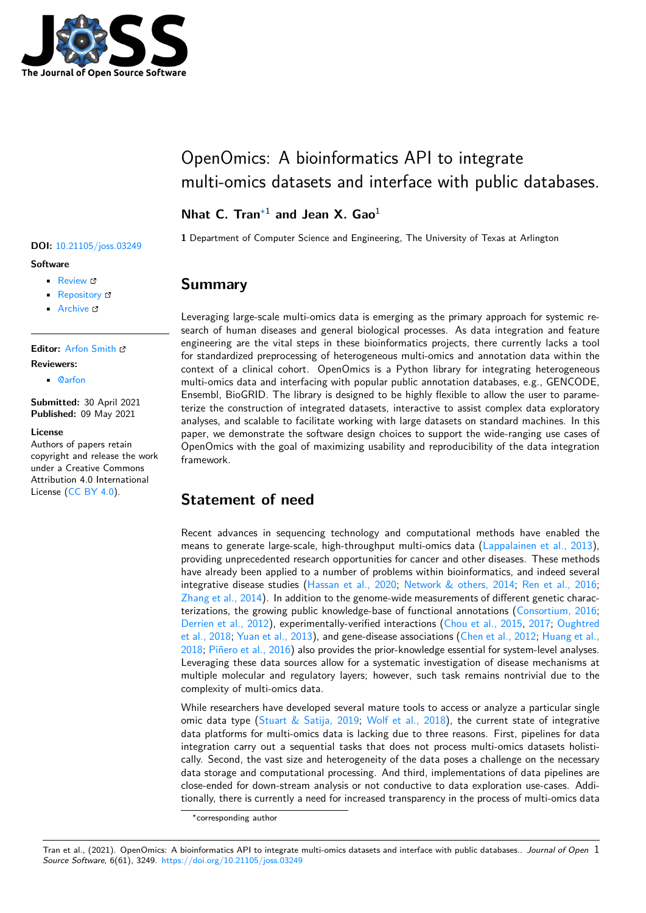

# OpenOmics: A bioinformatics API to integrate multi-omics datasets and interface with public databases.

### **Nhat C. Tran**∗1 **and Jean X. Gao**<sup>1</sup>

**1** Department of Computer Science and Engineering, The University of Texas at Arlington

### **Summary**

Leveraging large-scale multi-omics data is emerging as the primary approach for systemic research of human diseases and general biological processes. As data integration and feature engineering are the vital steps in these bioinformatics projects, there currently lacks a tool for standardized preprocessing of heterogeneous multi-omics and annotation data within the context of a clinical cohort. OpenOmics is a Python library for integrating heterogeneous multi-omics data and interfacing with popular public annotation databases, e.g., GENCODE, Ensembl, BioGRID. The library is designed to be highly flexible to allow the user to parameterize the construction of integrated datasets, interactive to assist complex data exploratory analyses, and scalable to facilitate working with large datasets on standard machines. In this paper, we demonstrate the software design choices to support the wide-ranging use cases of OpenOmics with the goal of maximizing usability and reproducibility of the data integration framework.

# **Statement of need**

Recent advances in sequencing technology and computational methods have enabled the means to generate large-scale, high-throughput multi-omics data (Lappalainen et al., 2013), providing unprecedented research opportunities for cancer and other diseases. These methods have already been applied to a number of problems within bioinformatics, and indeed several integrative disease studies (Hassan et al., 2020; Network & others, 2014; Ren et al., 2016; Zhang et al., 2014). In addition to the genome-wide measurements [of different genetic charac](#page-5-0)terizations, the growing public knowledge-base of functional annotations (Consortium, 2016; Derrien et al., 2012), experimentally-verified interactions (Chou et al., 2015, 2017; Oughtred et al., 2018; Yuan et al., 201[3\), and gene-disease](#page-5-1) [associations \(Chen et al.,](#page-5-2) 2012; [Huang et al.,](#page-5-3) 2018; [Piñero et al.](#page-6-0), 2016) also provides the prior-knowledge essential for system-level analyses. Leveraging these data sources allow for a systematic investigation of dise[ase mechanisms at](#page-5-4) [multiple molecular](#page-5-5) and regulatory layers; however, such [task remains nont](#page-5-6)r[ivial](#page-5-7) d[ue to the](#page-5-8) [complexity](#page-5-8) [of multi-omics dat](#page-6-1)a.

[While](#page-5-9) [researchers have d](#page-5-10)eveloped several mature tools to access or analyze a particular single omic data type (Stuart & Satija, 2019; Wolf et al., 2018), the current state of integrative data platforms for multi-omics data is lacking due to three reasons. First, pipelines for data integration carry out a sequential tasks that does not process multi-omics datasets holistically. Second, the vast size and heterogeneity of the data poses a challenge on the necessary data storage and [computational process](#page-6-2)i[ng. And third, imp](#page-6-3)lementations of data pipelines are close-ended for down-stream analysis or not conductive to data exploration use-cases. Additionally, there is currently a need for increased transparency in the process of multi-omics data

<sup>∗</sup>corresponding author

#### Tran et al., (2021). OpenOmics: A bioinformatics API to integrate multi-omics datasets and interface with public databases.. *Journal of Open* 1*Source Software*, 6(61), 3249. https://doi.org/10.21105/joss.03249

### **DOI:** 10.21105/joss.03249

#### **Software**

- Review **ø**
- [Repository](https://doi.org/10.21105/joss.03249) &
- Archive L'

#### **Editor:** [Arfon Sm](https://github.com/BioMeCIS-Lab/OpenOmics)ith

#### **Revie[wers:](https://doi.org/10.5281/zenodo.4731011)**

• @arfon

**Submitted:** [30 April](http://arfon.org/) 2021 **Published:** 09 May 2021

#### **Licen[se](https://github.com/arfon)**

Authors of papers retain copyright and release the work under a Creative Commons Attribution 4.0 International License (CC BY 4.0).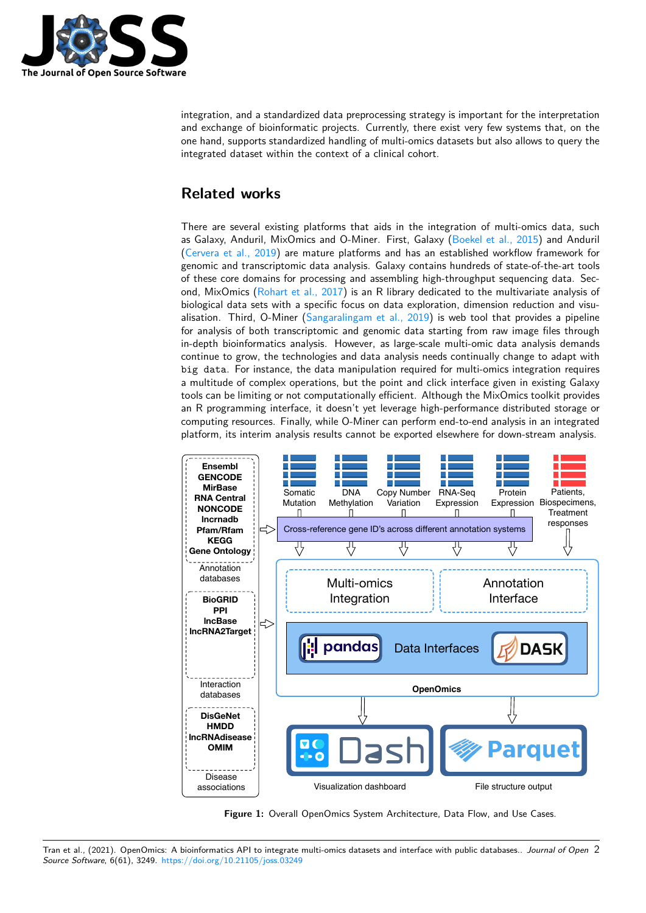

integration, and a standardized data preprocessing strategy is important for the interpretation and exchange of bioinformatic projects. Currently, there exist very few systems that, on the one hand, supports standardized handling of multi-omics datasets but also allows to query the integrated dataset within the context of a clinical cohort.

# **Related works**

There are several existing platforms that aids in the integration of multi-omics data, such as Galaxy, Anduril, MixOmics and O-Miner. First, Galaxy (Boekel et al., 2015) and Anduril (Cervera et al., 2019) are mature platforms and has an established workflow framework for genomic and transcriptomic data analysis. Galaxy contains hundreds of state-of-the-art tools of these core domains for processing and assembling high-throughput sequencing data. Second, MixOmics (Rohart et al., 2017) is an R library dedicat[ed to the multivaria](#page-4-0)te analysis of [biological data sets w](#page-5-11)ith a specific focus on data exploration, dimension reduction and visualisation. Third, O-Miner (Sangaralingam et al., 2019) is web tool that provides a pipeline for analysis of both transcriptomic and genomic data starting from raw image files through in-depth bioinfor[matics analysis. Ho](#page-6-4)wever, as large-scale multi-omic data analysis demands continue to grow, the technologies and data analysis needs continually change to adapt with big data. For instance, t[he data manipulation require](#page-6-5)d for multi-omics integration requires a multitude of complex operations, but the point and click interface given in existing Galaxy tools can be limiting or not computationally efficient. Although the MixOmics toolkit provides an R programming interface, it doesn't yet leverage high-performance distributed storage or computing resources. Finally, while O-Miner can perform end-to-end analysis in an integrated platform, its interim analysis results cannot be exported elsewhere for down-stream analysis.

<span id="page-1-0"></span>

**Figure 1:** Overall OpenOmics System Architecture, Data Flow, and Use Cases.

Tran et al., (2021). OpenOmics: A bioinformatics API to integrate multi-omics datasets and interface with public databases.. *Journal of Open* 2*Source Software*, 6(61), 3249. https://doi.org/10.21105/joss.03249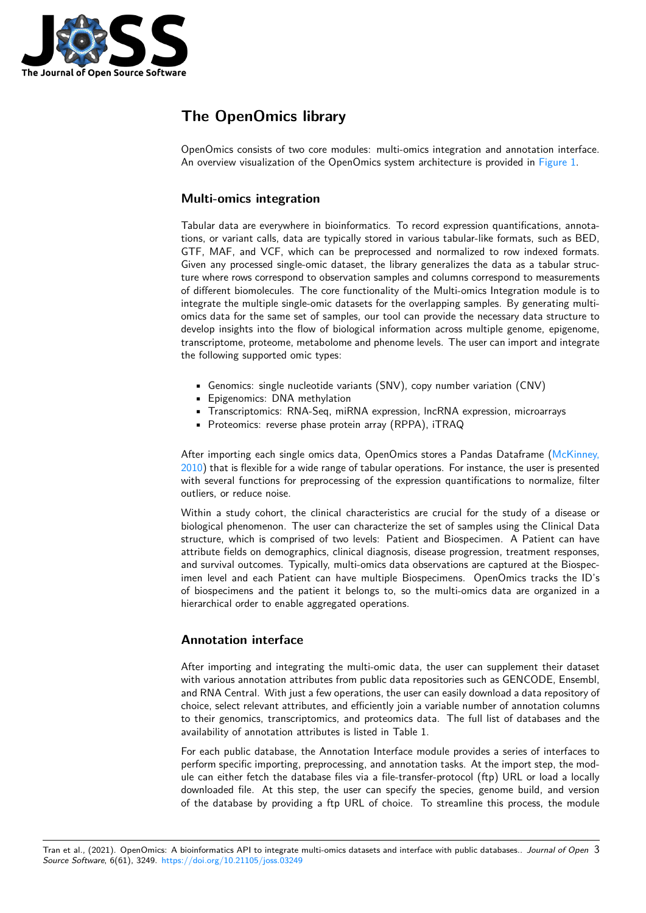

# **The OpenOmics library**

OpenOmics consists of two core modules: multi-omics integration and annotation interface. An overview visualization of the OpenOmics system architecture is provided in Figure 1.

#### **Multi-omics integration**

Tabular data are everywhere in bioinformatics. To record expression quantifica[tions, ann](#page-1-0)otations, or variant calls, data are typically stored in various tabular-like formats, such as BED, GTF, MAF, and VCF, which can be preprocessed and normalized to row indexed formats. Given any processed single-omic dataset, the library generalizes the data as a tabular structure where rows correspond to observation samples and columns correspond to measurements of different biomolecules. The core functionality of the Multi-omics Integration module is to integrate the multiple single-omic datasets for the overlapping samples. By generating multiomics data for the same set of samples, our tool can provide the necessary data structure to develop insights into the flow of biological information across multiple genome, epigenome, transcriptome, proteome, metabolome and phenome levels. The user can import and integrate the following supported omic types:

- Genomics: single nucleotide variants (SNV), copy number variation (CNV)
- Epigenomics: DNA methylation
- Transcriptomics: RNA-Seq, miRNA expression, lncRNA expression, microarrays
- Proteomics: reverse phase protein array (RPPA), iTRAQ

After importing each single omics data, OpenOmics stores a Pandas Dataframe (McKinney, 2010) that is flexible for a wide range of tabular operations. For instance, the user is presented with several functions for preprocessing of the expression quantifications to normalize, filter outliers, or reduce noise.

Within a study cohort, the clinical characteristics are crucial for the study of a [disease or](#page-5-12) [biolog](#page-5-12)ical phenomenon. The user can characterize the set of samples using the Clinical Data structure, which is comprised of two levels: Patient and Biospecimen. A Patient can have attribute fields on demographics, clinical diagnosis, disease progression, treatment responses, and survival outcomes. Typically, multi-omics data observations are captured at the Biospecimen level and each Patient can have multiple Biospecimens. OpenOmics tracks the ID's of biospecimens and the patient it belongs to, so the multi-omics data are organized in a hierarchical order to enable aggregated operations.

### **Annotation interface**

After importing and integrating the multi-omic data, the user can supplement their dataset with various annotation attributes from public data repositories such as GENCODE, Ensembl, and RNA Central. With just a few operations, the user can easily download a data repository of choice, select relevant attributes, and efficiently join a variable number of annotation columns to their genomics, transcriptomics, and proteomics data. The full list of databases and the availability of annotation attributes is listed in Table 1.

For each public database, the Annotation Interface module provides a series of interfaces to perform specific importing, preprocessing, and annotation tasks. At the import step, the module can either fetch the database files via a file-transfer-protocol (ftp) URL or load a locally downloaded file. At this step, the user can specify the species, genome build, and version of the database by providing a ftp URL of choice. To streamline this process, the module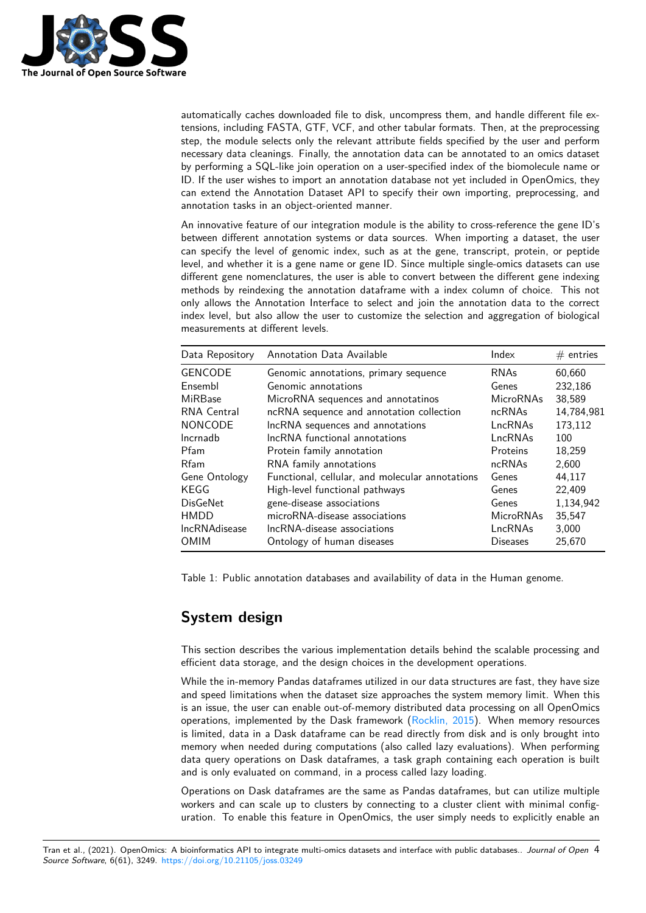

automatically caches downloaded file to disk, uncompress them, and handle different file extensions, including FASTA, GTF, VCF, and other tabular formats. Then, at the preprocessing step, the module selects only the relevant attribute fields specified by the user and perform necessary data cleanings. Finally, the annotation data can be annotated to an omics dataset by performing a SQL-like join operation on a user-specified index of the biomolecule name or ID. If the user wishes to import an annotation database not yet included in OpenOmics, they can extend the Annotation Dataset API to specify their own importing, preprocessing, and annotation tasks in an object-oriented manner.

An innovative feature of our integration module is the ability to cross-reference the gene ID's between different annotation systems or data sources. When importing a dataset, the user can specify the level of genomic index, such as at the gene, transcript, protein, or peptide level, and whether it is a gene name or gene ID. Since multiple single-omics datasets can use different gene nomenclatures, the user is able to convert between the different gene indexing methods by reindexing the annotation dataframe with a index column of choice. This not only allows the Annotation Interface to select and join the annotation data to the correct index level, but also allow the user to customize the selection and aggregation of biological measurements at different levels.

| Data Repository      | Annotation Data Available                       | Index            | $#$ entries |
|----------------------|-------------------------------------------------|------------------|-------------|
| <b>GENCODE</b>       | Genomic annotations, primary sequence           | <b>RNAs</b>      | 60,660      |
| Ensembl              | Genomic annotations                             | Genes            | 232,186     |
| MiRBase              | MicroRNA sequences and annotatinos              | <b>MicroRNAs</b> | 38,589      |
| RNA Central          | ncRNA sequence and annotation collection        | ncRNAs           | 14,784,981  |
| <b>NONCODE</b>       | IncRNA sequences and annotations                | LncRNAs          | 173,112     |
| Incrnadb             | IncRNA functional annotations                   | LncRNAs          | 100         |
| Pfam                 | Protein family annotation                       | Proteins         | 18,259      |
| <b>Rfam</b>          | RNA family annotations                          | ncRNAs           | 2,600       |
| Gene Ontology        | Functional, cellular, and molecular annotations | Genes            | 44,117      |
| KEGG                 | High-level functional pathways                  | Genes            | 22,409      |
| <b>DisGeNet</b>      | gene-disease associations                       | Genes            | 1,134,942   |
| <b>HMDD</b>          | microRNA-disease associations                   | <b>MicroRNAs</b> | 35,547      |
| <b>IncRNAdisease</b> | IncRNA-disease associations                     | LncRNAs          | 3,000       |
| <b>OMIM</b>          | Ontology of human diseases                      | <b>Diseases</b>  | 25,670      |

Table 1: Public annotation databases and availability of data in the Human genome.

# **System design**

This section describes the various implementation details behind the scalable processing and efficient data storage, and the design choices in the development operations.

While the in-memory Pandas dataframes utilized in our data structures are fast, they have size and speed limitations when the dataset size approaches the system memory limit. When this is an issue, the user can enable out-of-memory distributed data processing on all OpenOmics operations, implemented by the Dask framework (Rocklin, 2015). When memory resources is limited, data in a Dask dataframe can be read directly from disk and is only brought into memory when needed during computations (also called lazy evaluations). When performing data query operations on Dask dataframes, a task graph containing each operation is built and is only evaluated on command, in a process c[alled lazy loadin](#page-6-6)g.

Operations on Dask dataframes are the same as Pandas dataframes, but can utilize multiple workers and can scale up to clusters by connecting to a cluster client with minimal configuration. To enable this feature in OpenOmics, the user simply needs to explicitly enable an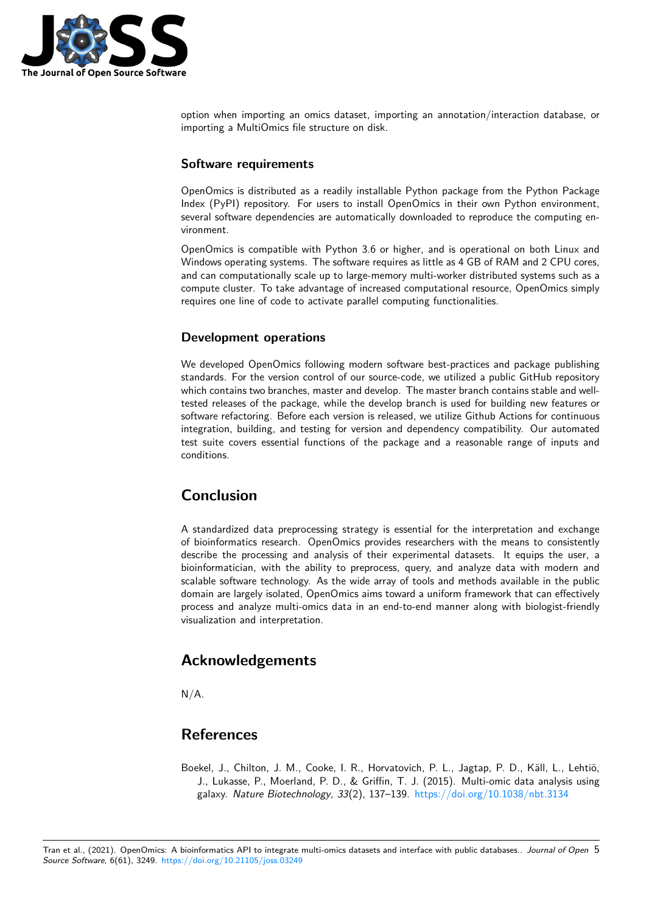

option when importing an omics dataset, importing an annotation/interaction database, or importing a MultiOmics file structure on disk.

#### **Software requirements**

OpenOmics is distributed as a readily installable Python package from the Python Package Index (PyPI) repository. For users to install OpenOmics in their own Python environment, several software dependencies are automatically downloaded to reproduce the computing environment.

OpenOmics is compatible with Python 3.6 or higher, and is operational on both Linux and Windows operating systems. The software requires as little as 4 GB of RAM and 2 CPU cores, and can computationally scale up to large-memory multi-worker distributed systems such as a compute cluster. To take advantage of increased computational resource, OpenOmics simply requires one line of code to activate parallel computing functionalities.

#### **Development operations**

We developed OpenOmics following modern software best-practices and package publishing standards. For the version control of our source-code, we utilized a public GitHub repository which contains two branches, master and develop. The master branch contains stable and welltested releases of the package, while the develop branch is used for building new features or software refactoring. Before each version is released, we utilize Github Actions for continuous integration, building, and testing for version and dependency compatibility. Our automated test suite covers essential functions of the package and a reasonable range of inputs and conditions.

# **Conclusion**

A standardized data preprocessing strategy is essential for the interpretation and exchange of bioinformatics research. OpenOmics provides researchers with the means to consistently describe the processing and analysis of their experimental datasets. It equips the user, a bioinformatician, with the ability to preprocess, query, and analyze data with modern and scalable software technology. As the wide array of tools and methods available in the public domain are largely isolated, OpenOmics aims toward a uniform framework that can effectively process and analyze multi-omics data in an end-to-end manner along with biologist-friendly visualization and interpretation.

# **Acknowledgements**

 $N/A$ .

# **References**

<span id="page-4-0"></span>Boekel, J., Chilton, J. M., Cooke, I. R., Horvatovich, P. L., Jagtap, P. D., Käll, L., Lehtiö, J., Lukasse, P., Moerland, P. D., & Griffin, T. J. (2015). Multi-omic data analysis using galaxy. *Nature Biotechnology*, *33*(2), 137–139. https://doi.org/10.1038/nbt.3134

Tran et al., (2021). OpenOmics: A bioinformatics API to integrate multi-omics datasets and inte[rface with public databases..](https://doi.org/10.1038/nbt.3134) *Journal of Open* 5*Source Software*, 6(61), 3249. https://doi.org/10.21105/joss.03249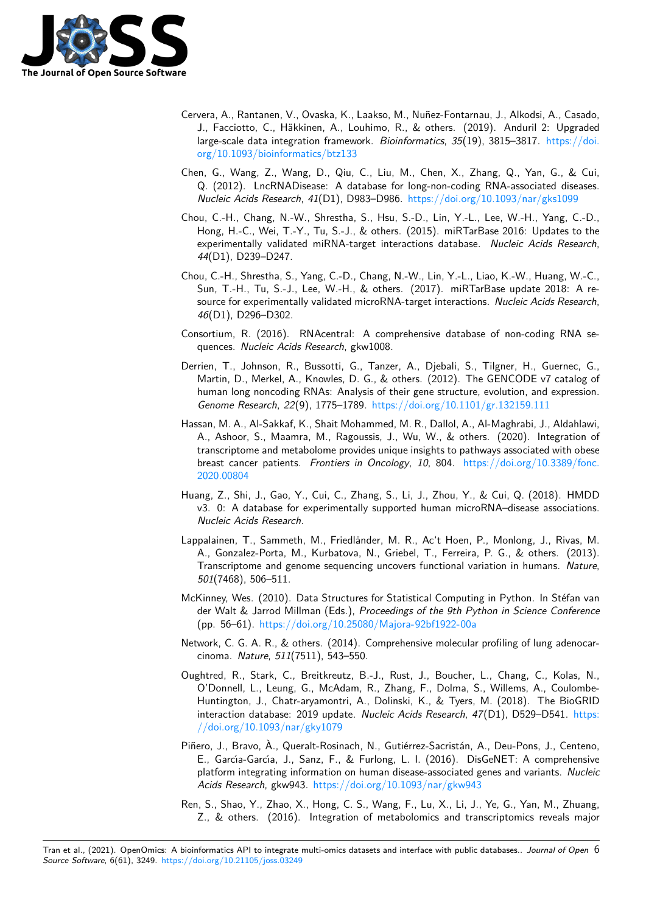

- Cervera, A., Rantanen, V., Ovaska, K., Laakso, M., Nuñez-Fontarnau, J., Alkodsi, A., Casado, J., Facciotto, C., Häkkinen, A., Louhimo, R., & others. (2019). Anduril 2: Upgraded large-scale data integration framework. *Bioinformatics*, *35*(19), 3815–3817. https://doi. org/10.1093/bioinformatics/btz133
- <span id="page-5-11"></span>Chen, G., Wang, Z., Wang, D., Qiu, C., Liu, M., Chen, X., Zhang, Q., Yan, G., & Cui, Q. (2012). LncRNADisease: A database for long-non-coding RNA-associa[ted diseases.](https://doi.org/10.1093/bioinformatics/btz133) *[Nucleic Acids Research](https://doi.org/10.1093/bioinformatics/btz133)*, *41*(D1), D983–D986. https://doi.org/10.1093/nar/gks1099
- Chou, C.-H., Chang, N.-W., Shrestha, S., Hsu, S.-D., Lin, Y.-L., Lee, W.-H., Yang, C.-D., Hong, H.-C., Wei, T.-Y., Tu, S.-J., & others. (2015). miRTarBase 2016: Updates to the experimentally validated miRNA-target interactions database. *[Nucleic Acids Resea](https://doi.org/10.1093/nar/gks1099)rch*, *44*(D1), D239–D247.
- <span id="page-5-6"></span>Chou, C.-H., Shrestha, S., Yang, C.-D., Chang, N.-W., Lin, Y.-L., Liao, K.-W., Huang, W.-C., Sun, T.-H., Tu, S.-J., Lee, W.-H., & others. (2017). miRTarBase update 2018: A resource for experimentally validated microRNA-target interactions. *Nucleic Acids Research*, *46*(D1), D296–D302.
- <span id="page-5-7"></span>Consortium, R. (2016). RNAcentral: A comprehensive database of non-coding RNA sequences. *Nucleic Acids Research*, gkw1008.
- Derrien, T., Johnson, R., Bussotti, G., Tanzer, A., Djebali, S., Tilgner, H., Guernec, G., Martin, D., Merkel, A., Knowles, D. G., & others. (2012). The GENCODE v7 catalog of human long noncoding RNAs: Analysis of their gene structure, evolution, and expression. *Genome Research*, *22*(9), 1775–1789. https://doi.org/10.1101/gr.132159.111
- <span id="page-5-5"></span><span id="page-5-4"></span>Hassan, M. A., Al-Sakkaf, K., Shait Mohammed, M. R., Dallol, A., Al-Maghrabi, J., Aldahlawi, A., Ashoor, S., Maamra, M., Ragoussis, J., Wu, W., & others. (2020). Integration of transcriptome and metabolome provide[s unique insights to pathways associated](https://doi.org/10.1101/gr.132159.111) with obese breast cancer patients. *Frontiers in Oncology*, *10*, 804. https://doi.org/10.3389/fonc. 2020.00804
- <span id="page-5-1"></span>Huang, Z., Shi, J., Gao, Y., Cui, C., Zhang, S., Li, J., Zhou, Y., & Cui, Q. (2018). HMDD v3. 0: A database for experimentally supported human [microRNA–disease associations.](https://doi.org/10.3389/fonc.2020.00804) *[Nucleic Acid](https://doi.org/10.3389/fonc.2020.00804)s Research*.
- <span id="page-5-9"></span>Lappalainen, T., Sammeth, M., Friedländer, M. R., Ac't Hoen, P., Monlong, J., Rivas, M. A., Gonzalez-Porta, M., Kurbatova, N., Griebel, T., Ferreira, P. G., & others. (2013). Transcriptome and genome sequencing uncovers functional variation in humans. *Nature*, *501*(7468), 506–511.
- <span id="page-5-0"></span>McKinney, Wes. (2010). Data Structures for Statistical Computing in Python. In Stéfan van der Walt & Jarrod Millman (Eds.), *Proceedings of the 9th Python in Science Conference* (pp. 56–61). https://doi.org/10.25080/Majora-92bf1922-00a
- Network, C. G. A. R., & others. (2014). Comprehensive molecular profiling of lung adenocarcinoma. *Nature*, *511*(7511), 543–550.
- <span id="page-5-12"></span><span id="page-5-2"></span>Oughtred, R., S[tark, C., Breitkreutz, B.-J., Rust, J., Boucher,](https://doi.org/10.25080/Majora-92bf1922-00a) L., Chang, C., Kolas, N., O'Donnell, L., Leung, G., McAdam, R., Zhang, F., Dolma, S., Willems, A., Coulombe-Huntington, J., Chatr-aryamontri, A., Dolinski, K., & Tyers, M. (2018). The BioGRID interaction database: 2019 update. *Nucleic Acids Research*, *47*(D1), D529–D541. https: //doi.org/10.1093/nar/gky1079
- <span id="page-5-8"></span>Piñero, J., Bravo, À., Queralt-Rosinach, N., Gutiérrez-Sacristán, A., Deu-Pons, J., Centeno, E., Garcı́a-Garcı́a, J., Sanz, F., & Furlong, L. I. (2016). DisGeNET: A comprehensive [platform integrating information](https://doi.org/10.1093/nar/gky1079) on human disease-associated genes and variants. *[Nucleic](https://doi.org/10.1093/nar/gky1079) Acids Research*, gkw943. https://doi.org/10.1093/nar/gkw943
- <span id="page-5-10"></span><span id="page-5-3"></span>Ren, S., Shao, Y., Zhao, X., Hong, C. S., Wang, F., Lu, X., Li, J., Ye, G., Yan, M., Zhuang, Z., & others. (2016). Integration of metabolomics and transcriptomics reveals major